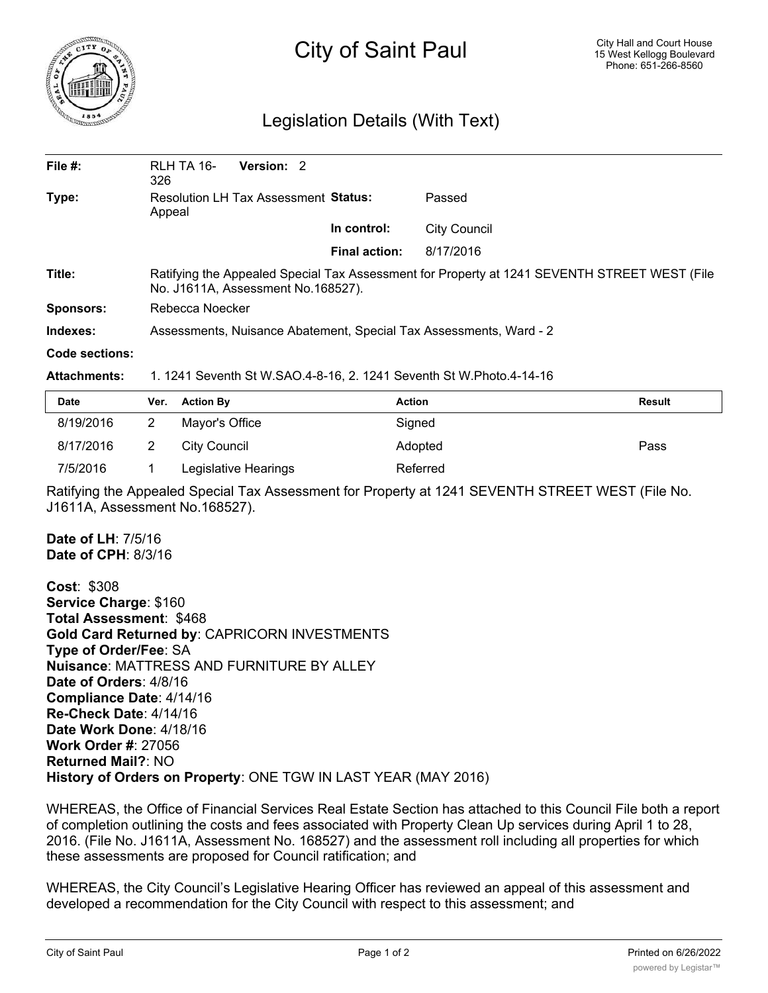

## City of Saint Paul

## Legislation Details (With Text)

| File $#$ :       | RLH TA 16-<br>326                                                                                                                   | Version: 2 |                      |                     |  |  |
|------------------|-------------------------------------------------------------------------------------------------------------------------------------|------------|----------------------|---------------------|--|--|
| Type:            | <b>Resolution LH Tax Assessment Status:</b><br>Appeal                                                                               |            |                      | Passed              |  |  |
|                  |                                                                                                                                     |            | In control:          | <b>City Council</b> |  |  |
|                  |                                                                                                                                     |            | <b>Final action:</b> | 8/17/2016           |  |  |
| Title:           | Ratifying the Appealed Special Tax Assessment for Property at 1241 SEVENTH STREET WEST (File<br>No. J1611A, Assessment No. 168527). |            |                      |                     |  |  |
| <b>Sponsors:</b> | Rebecca Noecker                                                                                                                     |            |                      |                     |  |  |
| Indexes:         | Assessments, Nuisance Abatement, Special Tax Assessments, Ward - 2                                                                  |            |                      |                     |  |  |
| Code sections:   |                                                                                                                                     |            |                      |                     |  |  |

## **Attachments:** 1. 1241 Seventh St W.SAO.4-8-16, 2. 1241 Seventh St W.Photo.4-14-16

| Date      | Ver. Action By       | <b>Action</b> | Result |
|-----------|----------------------|---------------|--------|
| 8/19/2016 | Mayor's Office       | Signed        |        |
| 8/17/2016 | City Council         | Adopted       | Pass   |
| 7/5/2016  | Legislative Hearings | Referred      |        |

Ratifying the Appealed Special Tax Assessment for Property at 1241 SEVENTH STREET WEST (File No. J1611A, Assessment No.168527).

**Date of LH**: 7/5/16 **Date of CPH**: 8/3/16

**Cost**: \$308 **Service Charge**: \$160 **Total Assessment**: \$468 **Gold Card Returned by**: CAPRICORN INVESTMENTS **Type of Order/Fee**: SA **Nuisance**: MATTRESS AND FURNITURE BY ALLEY **Date of Orders**: 4/8/16 **Compliance Date**: 4/14/16 **Re-Check Date**: 4/14/16 **Date Work Done**: 4/18/16 **Work Order #**: 27056 **Returned Mail?**: NO **History of Orders on Property**: ONE TGW IN LAST YEAR (MAY 2016)

WHEREAS, the Office of Financial Services Real Estate Section has attached to this Council File both a report of completion outlining the costs and fees associated with Property Clean Up services during April 1 to 28, 2016. (File No. J1611A, Assessment No. 168527) and the assessment roll including all properties for which these assessments are proposed for Council ratification; and

WHEREAS, the City Council's Legislative Hearing Officer has reviewed an appeal of this assessment and developed a recommendation for the City Council with respect to this assessment; and